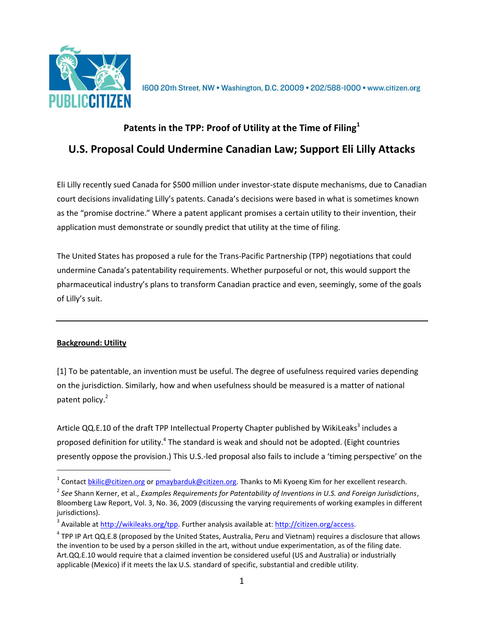

1600 20th Street, NW . Washington, D.C. 20009 . 202/588-1000 . www.citizen.org

## **Patents in the TPP: Proof of Utility at the Time of Filing<sup>1</sup> U.S. Proposal Could Undermine Canadian Law; Support Eli Lilly Attacks**

Eli Lilly recently sued Canada for \$500 million under investor-state dispute mechanisms, due to Canadian court decisions invalidating Lilly's patents. Canada's decisions were based in what is sometimes known as the "promise doctrine." Where a patent applicant promises a certain utility to their invention, their application must demonstrate or soundly predict that utility at the time of filing.

The United States has proposed a rule for the Trans-Pacific Partnership (TPP) negotiations that could undermine Canada's patentability requirements. Whether purposeful or not, this would support the pharmaceutical industry's plans to transform Canadian practice and even, seemingly, some of the goals of Lilly's suit.

## **Background: Utility**

 $\overline{a}$ 

[1] To be patentable, an invention must be useful. The degree of usefulness required varies depending on the jurisdiction. Similarly, how and when usefulness should be measured is a matter of national patent policy.<sup>2</sup>

Article QQ.E.10 of the draft TPP Intellectual Property Chapter published by WikiLeaks<sup>3</sup> includes a proposed definition for utility.<sup>4</sup> The standard is weak and should not be adopted. (Eight countries presently oppose the provision.) This U.S.-led proposal also fails to include a 'timing perspective' on the

<sup>&</sup>lt;sup>1</sup> Contact **bkilic@citizen.org or pmaybarduk@citizen.org**. Thanks to Mi Kyoeng Kim for her excellent research.

<sup>2</sup> *See* Shann Kerner, et al., *Examples Requirements for Patentability of Inventions in U.S. and Foreign Jurisdictions*, Bloomberg Law Report, Vol. 3, No. 36, 2009 (discussing the varying requirements of working examples in different jurisdictions).

<sup>&</sup>lt;sup>3</sup> Available at [http://wikileaks.org/tpp.](http://wikileaks.org/tpp) Further analysis available at: [http://citizen.org/access.](http://citizen.org/access)

 $^4$  TPP IP Art QQ.E.8 (proposed by the United States, Australia, Peru and Vietnam) requires a disclosure that allows the invention to be used by a person skilled in the art, without undue experimentation, as of the filing date. Art.QQ.E.10 would require that a claimed invention be considered useful (US and Australia) or industrially applicable (Mexico) if it meets the lax U.S. standard of specific, substantial and credible utility.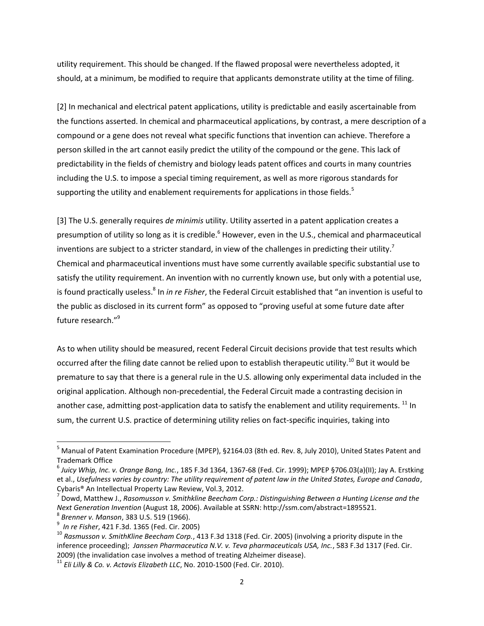utility requirement. This should be changed. If the flawed proposal were nevertheless adopted, it should, at a minimum, be modified to require that applicants demonstrate utility at the time of filing.

[2] In mechanical and electrical patent applications, utility is predictable and easily ascertainable from the functions asserted. In chemical and pharmaceutical applications, by contrast, a mere description of a compound or a gene does not reveal what specific functions that invention can achieve. Therefore a person skilled in the art cannot easily predict the utility of the compound or the gene. This lack of predictability in the fields of chemistry and biology leads patent offices and courts in many countries including the U.S. to impose a special timing requirement, as well as more rigorous standards for supporting the utility and enablement requirements for applications in those fields.<sup>5</sup>

[3] The U.S. generally requires *de minimis* utility. Utility asserted in a patent application creates a presumption of utility so long as it is credible.<sup>6</sup> However, even in the U.S., chemical and pharmaceutical inventions are subject to a stricter standard, in view of the challenges in predicting their utility.<sup>7</sup> Chemical and pharmaceutical inventions must have some currently available specific substantial use to satisfy the utility requirement. An invention with no currently known use, but only with a potential use, is found practically useless.<sup>8</sup> In *in re Fisher*, the Federal Circuit established that "an invention is useful to the public as disclosed in its current form" as opposed to "proving useful at some future date after future research."<sup>9</sup>

As to when utility should be measured, recent Federal Circuit decisions provide that test results which occurred after the filing date cannot be relied upon to establish therapeutic utility.<sup>10</sup> But it would be premature to say that there is a general rule in the U.S. allowing only experimental data included in the original application. Although non-precedential, the Federal Circuit made a contrasting decision in another case, admitting post-application data to satisfy the enablement and utility requirements.  $^{11}$  In sum, the current U.S. practice of determining utility relies on fact-specific inquiries, taking into

 $\overline{a}$ 

<sup>&</sup>lt;sup>5</sup> Manual of Patent Examination Procedure (MPEP), §2164.03 (8th ed. Rev. 8, July 2010), United States Patent and Trademark Office

<sup>6</sup> *Juicy Whip, Inc. v. Orange Bang, Inc.*, 185 F.3d 1364, 1367-68 (Fed. Cir. 1999); MPEP §706.03(a)(II); Jay A. Erstking et al., *Usefulness varies by country: The utility requirement of patent law in the United States, Europe and Canada*, Cybaris® An Intellectual Property Law Review, Vol.3, 2012.

<sup>7</sup> Dowd, Matthew J., *Rasomusson v. Smithkline Beecham Corp.: Distinguishing Between a Hunting License and the Next Generation Invention* (August 18, 2006). Available at SSRN: http://ssm.com/abstract=1895521. 8

*Brenner v. Manson*, 383 U.S. 519 (1966).

<sup>9</sup> *In re Fisher*, 421 F.3d. 1365 (Fed. Cir. 2005)

<sup>10</sup> *Rasmusson v. SmithKline Beecham Corp.*, 413 F.3d 1318 (Fed. Cir. 2005) (involving a priority dispute in the inference proceeding); *Janssen Pharmaceutica N.V. v. Teva pharmaceuticals USA, Inc.*, 583 F.3d 1317 (Fed. Cir. 2009) (the invalidation case involves a method of treating Alzheimer disease).

<sup>11</sup> *Eli Lilly & Co. v. Actavis Elizabeth LLC*, No. 2010-1500 (Fed. Cir. 2010).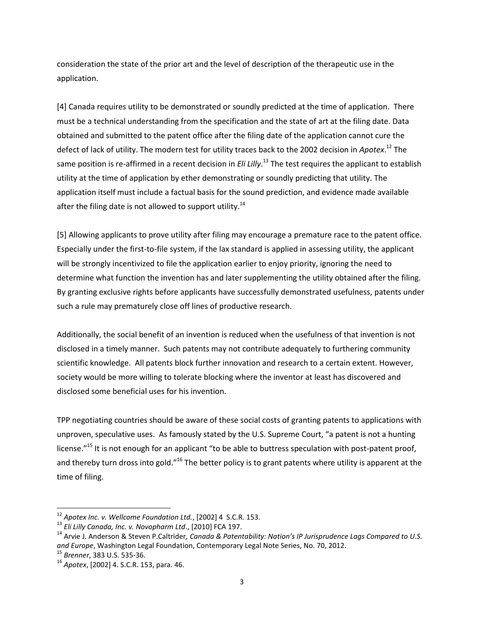consideration the state of the prior art and the level of description of the therapeutic use in the application.

[4] Canada requires utility to be demonstrated or soundly predicted at the time of application. There must be a technical understanding from the specification and the state of art at the filing date. Data obtained and submitted to the patent office after the filing date of the application cannot cure the defect of lack of utility. The modern test for utility traces back to the 2002 decision in *Apotex*. <sup>12</sup> The same position is re-affirmed in a recent decision in *Eli Lilly*. <sup>13</sup> The test requires the applicant to establish utility at the time of application by ether demonstrating or soundly predicting that utility. The application itself must include a factual basis for the sound prediction, and evidence made available after the filing date is not allowed to support utility.<sup>14</sup>

[5] Allowing applicants to prove utility after filing may encourage a premature race to the patent office. Especially under the first-to-file system, if the lax standard is applied in assessing utility, the applicant will be strongly incentivized to file the application earlier to enjoy priority, ignoring the need to determine what function the invention has and later supplementing the utility obtained after the filing. By granting exclusive rights before applicants have successfully demonstrated usefulness, patents under such a rule may prematurely close off lines of productive research.

Additionally, the social benefit of an invention is reduced when the usefulness of that invention is not disclosed in a timely manner. Such patents may not contribute adequately to furthering community scientific knowledge. All patents block further innovation and research to a certain extent. However, society would be more willing to tolerate blocking where the inventor at least has discovered and disclosed some beneficial uses for his invention.

TPP negotiating countries should be aware of these social costs of granting patents to applications with unproven, speculative uses. As famously stated by the U.S. Supreme Court, "a patent is not a hunting license."<sup>15</sup> It is not enough for an applicant "to be able to buttress speculation with post-patent proof, and thereby turn dross into gold."<sup>16</sup> The better policy is to grant patents where utility is apparent at the time of filing.

 $\overline{a}$ 

<sup>12</sup> *Apotex Inc. v. Wellcome Foundation Ltd.*, [2002] 4 S.C.R. 153.

<sup>13</sup> *Eli Lilly Canada, Inc. v. Novopharm Ltd*., [2010] FCA 197.

<sup>&</sup>lt;sup>14</sup> Arvie J. Anderson & Steven P.Caltrider, Canada & Patentability: Nation's IP Jurisprudence Lags Compared to U.S. *and Europe*, Washington Legal Foundation, Contemporary Legal Note Series, No. 70, 2012.

<sup>15</sup> *Brenner*, 383 U.S. 535-36.

<sup>16</sup> *Apotex*, [2002] 4. S.C.R. 153, para. 46.